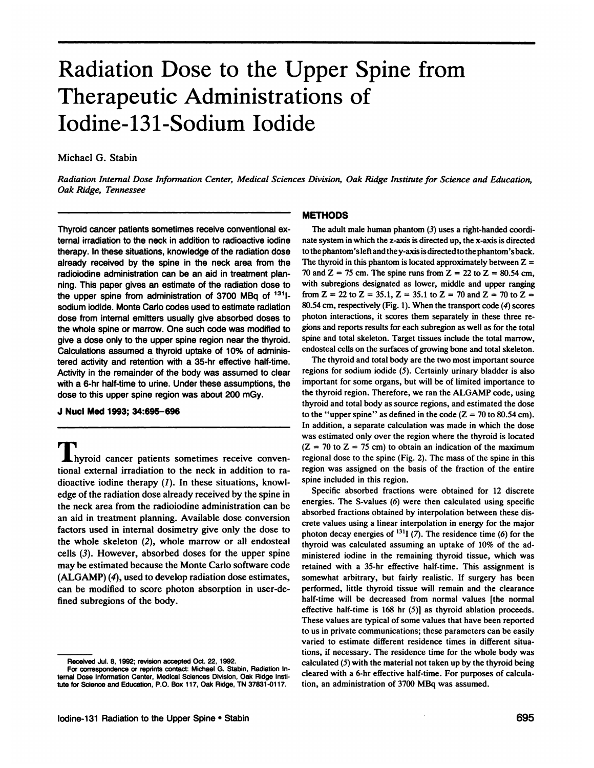# **Radiation Dose to the Upper Spine from Therapeutic Administrations of Iodine-131-Sodium Iodide**

### Michael G. Stabin

*Radiation Internal Dose Information Center, Medical Sciences Division, Oak Ridge Institute for Science and Education, Oak Ridge, Tennessee*

Thyroid cancer patients sometimes receive conventional external irradiation to the neck in addition to radioactive iodine therapy. In these situations, knowledge of the radiation dose already received by the spine in the neck area from the radioiodine administration can be an aid in treatment plan **fling.Thispapergivesan estimateofthe radiationdoseto** the upper spine from administration of 3700 MBq of  $131$ sodium iodide. Monte Carlo codes used to estimate radiation dose from internal emitters usually give absorbed doses to the whole spine or marrow. One such code was modified to give a dose only to the upper spine region near the thyroid. Calculations assumed a thyroid uptake of 10% of adminis tered activity and retention with a 35-hr effective half-time. Activity in the remainder of the body was assumed to clear with a 6-hr half-time to urine. Under these assumptions, the dose to this upper spine region was about 200 mGy.

#### **J NucIMed1993;34:695—696**

hyroid cancer patients sometimes receive conven tional external irradiation to the neck in addition to ra dioactive iodine therapy  $(1)$ . In these situations, knowledge of the radiation dose already received by the spine in the neck area from the radioiodine administration can be an aid in treatment planning. Available dose conversion factors used in internal dosimetry give only the dose to the whole skeleton (2), whole marrow or all endosteal cells (3). However, absorbed doses for the upper spine may be estimated because the Monte Carlo software code (ALGAMP) (4), used to develop radiation dose estimates, can be modified to score photon absorption in user-de fined subregions of the body.

#### **METHODS**

The adult male human phantom  $(3)$  uses a right-handed coordinate system inwhich the z-axis is directed up, the x-axis is directed tothephantom'sleftandthey-axisisdirectedtothephantom'sback. The thyroid in this phantom is located approximately between  $Z =$ 70 and Z = 75 cm. The spine runs from Z = 22 to Z = 80.54 cm, with subregions designated as lower, middle and upper ranging from Z = 22 to Z = 35.1, Z = 35.1 to Z = 70 and Z = 70 to Z = 80.54 cm, respectively (Fig. 1). When the transport code (4) scores photon interactions, it scores them separately in these three re gions and reports results for each subregion as well as for the total spine and total skeleton. Target tissues include the total marrow, endosteal cells on the surfaces of growing bone and total skeleton.

The thyroid and total body are the two most important source regions for sodium iodide (5). Certainly urinary bladder is also important for some organs, but will be of limited importance to the thyroid region. Therefore, we ran the ALGAMP code, using thyroid and total body as source regions, and estimated the dose to the "upper spine" as defined in the code ( $Z = 70$  to 80.54 cm). In addition, a separate calculation was made in which the dose was estimated only over the region where the thyroid is located  $(Z = 70$  to  $Z = 75$  cm) to obtain an indication of the maximum regional dose to the spine (Fig. 2). The mass of the spine in this region was assigned on the basis of the fraction of the entire spine included in this region.

Specific absorbed fractions were obtained for 12 discrete energies. The S-values (6) were then calculated using specific absorbed fractions obtained by interpolation between these dis crete values using a linear interpolation in energy for the major photon decay energies of  $^{131}I$  (7). The residence time (6) for the thyroid was calculated assuming an uptake of 10% of the administered iodine in the remaining thyroid tissue, which was retained with a 35-hr effective half-time. This assignment is somewhat arbitrary, but fairly realistic. If surgery has been performed, little thyroid tissue will remain and the clearance half-time will be decreased from normal values [the normal effective half-time is 168 hr (5)] as thyroid ablation proceeds. These values are typical of some values that have been reported to us in private communications; these parameters can be easily varied to estimate different residence times in different situa tions, if necessary. The residence time for the whole body was calculated  $(5)$  with the material not taken up by the thyroid being cleared with a 6-hr effective half-time. For purposes of calcula tion, an administration of 3700 MBq was assumed.

Received Jul. 8, 1992; revision accepted Oct. 22, 1992.

For correspondence or reprints contact: Michael G. Stabin, Radiation Intemal Dose Information Center, Medical Sciences Division, Oak Ridge Insti **Me for Sdence and Education,P.O. Box 117,Oak Ridge,TN 37831-0117.**